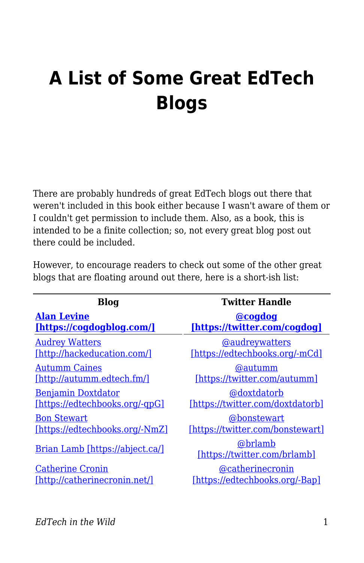# **A List of Some Great EdTech Blogs**

There are probably hundreds of great EdTech blogs out there that weren't included in this book either because I wasn't aware of them or I couldn't get permission to include them. Also, as a book, this is intended to be a finite collection; so, not every great blog post out there could be included.

| However, to encourage readers to check out some of the other great  |  |  |  |  |  |
|---------------------------------------------------------------------|--|--|--|--|--|
| blogs that are floating around out there, here is a short-ish list: |  |  |  |  |  |

| <b>Blog</b>                     | <b>Twitter Handle</b>                   |
|---------------------------------|-----------------------------------------|
| <b>Alan Levine</b>              | <b>@cogdog</b>                          |
| [https://cogdogblog.com/]       | [https://twitter.com/cogdog]            |
| <b>Audrey Watters</b>           | <b>@audreywatters</b>                   |
| [http://hackeducation.com/]     | [https://edtechbooks.org/-mCd]          |
| <b>Autumm Caines</b>            | <b>@autumm</b>                          |
| [http://autumm.edtech.fm/]      | [https://twitter.com/autumm]            |
| Benjamin Doxtdator              | @doxtdatorb                             |
| [https://edtechbooks.org/-gpG]  | [https://twitter.com/doxtdatorb]        |
| <b>Bon Stewart</b>              | @bonstewart                             |
| [https://edtechbooks.org/-NmZ]  | [https://twitter.com/bonstewart]        |
| Brian Lamb [https://abject.ca/] | @brlamb<br>[https://twitter.com/brlamb] |
| <b>Catherine Cronin</b>         | @catherinecronin                        |
| [http://catherinecronin.net/]   | [https://edtechbooks.org/-Bap]          |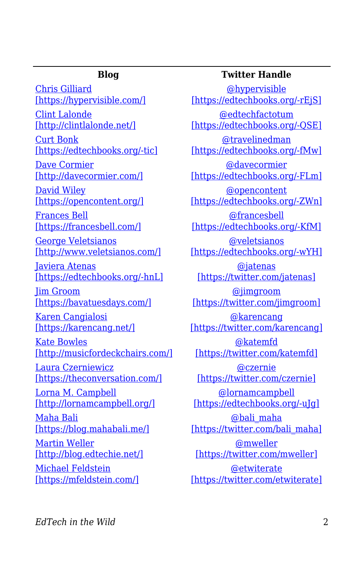[Chris Gilliard](https://hypervisible.com/) [\[https://hypervisible.com/\]](https://hypervisible.com/) [Clint Lalonde](http://clintlalonde.net/) [\[http://clintlalonde.net/\]](http://clintlalonde.net/)

[Curt Bonk](http://travelinedman.blogspot.com/) [\[https://edtechbooks.org/-tic\]](http://travelinedman.blogspot.com/)

[Dave Cormier](http://davecormier.com/) [\[http://davecormier.com/\]](http://davecormier.com/)

[David Wiley](https://opencontent.org/) [\[https://opencontent.org/\]](https://opencontent.org/)

[Frances Bell](https://francesbell.com/) [\[https://francesbell.com/\]](https://francesbell.com/)

[George Veletsianos](http://www.veletsianos.com/) [\[http://www.veletsianos.com/\]](http://www.veletsianos.com/)

[Javiera Atenas](https://oerqualityproject.wordpress.com/) [\[https://edtechbooks.org/-hnL\]](https://oerqualityproject.wordpress.com/)

[Jim Groom](https://bavatuesdays.com/) [\[https://bavatuesdays.com/\]](https://bavatuesdays.com/)

[Karen Cangialosi](https://karencang.net/) [\[https://karencang.net/\]](https://karencang.net/)

[Kate Bowles](http://musicfordeckchairs.com/) [\[http://musicfordeckchairs.com/\]](http://musicfordeckchairs.com/)

[Laura Czerniewicz](https://theconversation.com/) [\[https://theconversation.com/\]](https://theconversation.com/)

[Lorna M. Campbell](http://lornamcampbell.org/) [\[http://lornamcampbell.org/\]](http://lornamcampbell.org/)

[Maha Bali](https://blog.mahabali.me/) [\[https://blog.mahabali.me/\]](https://blog.mahabali.me/)

[Martin Weller](http://blog.edtechie.net/) [\[http://blog.edtechie.net/\]](http://blog.edtechie.net/)

[Michael Feldstein](https://mfeldstein.com/) [\[https://mfeldstein.com/\]](https://mfeldstein.com/)

## **Blog Twitter Handle**

[@hypervisible](https://twitter.com/hypervisible) [\[https://edtechbooks.org/-rEjS\]](https://twitter.com/hypervisible) [@edtechfactotum](https://twitter.com/edtechfactotum) [https://edtechbooks.org/-OSE] [@travelinedman](https://twitter.com/travelinedman) [\[https://edtechbooks.org/-fMw\]](https://twitter.com/travelinedman) [@davecormier](https://twitter.com/davecormier) [\[https://edtechbooks.org/-FLm\]](https://twitter.com/davecormier) [@opencontent](https://twitter.com/opencontent) [\[https://edtechbooks.org/-ZWn\]](https://twitter.com/opencontent) [@francesbell](https://twitter.com/francesbell) [\[https://edtechbooks.org/-KfM\]](https://twitter.com/francesbell) [@veletsianos](https://twitter.com/veletsianos) [\[https://edtechbooks.org/-wYH\]](https://twitter.com/veletsianos) [@jatenas](https://twitter.com/jatenas) [\[https://twitter.com/jatenas\]](https://twitter.com/jatenas) [@jimgroom](https://twitter.com/jimgroom) [\[https://twitter.com/jimgroom\]](https://twitter.com/jimgroom) [@karencang](https://twitter.com/karencang) [\[https://twitter.com/karencang\]](https://twitter.com/karencang) [@katemfd](https://twitter.com/katemfd) [\[https://twitter.com/katemfd\]](https://twitter.com/katemfd) [@czernie](https://twitter.com/czernie) [\[https://twitter.com/czernie\]](https://twitter.com/czernie) [@lornamcampbell](https://twitter.com/lornamcampbell) [\[https://edtechbooks.org/-uJg\]](https://twitter.com/lornamcampbell) [@bali\\_maha](https://twitter.com/bali_maha) [\[https://twitter.com/bali\\_maha\]](https://twitter.com/bali_maha) [@mweller](https://twitter.com/mweller) [\[https://twitter.com/mweller\]](https://twitter.com/mweller) [@etwiterate](https://twitter.com/etwiterate) [\[https://twitter.com/etwiterate\]](https://twitter.com/etwiterate)

*EdTech in the Wild* 2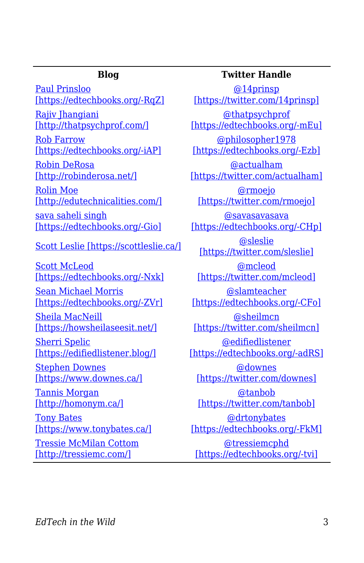[Paul Prinsloo](https://opendistanceteachingandlearning.wordpress.com/) [\[https://edtechbooks.org/-RqZ\]](https://opendistanceteachingandlearning.wordpress.com/) [Rajiv Jhangiani](http://thatpsychprof.com/)

[\[http://thatpsychprof.com/\]](http://thatpsychprof.com/)

[Rob Farrow](https://philosopher1978.wordpress.com/) [\[https://edtechbooks.org/-iAP\]](https://philosopher1978.wordpress.com/)

[Robin DeRosa](http://robinderosa.net/) [\[http://robinderosa.net/\]](http://robinderosa.net/)

[Rolin Moe](http://edutechnicalities.com/) [\[http://edutechnicalities.com/\]](http://edutechnicalities.com/)

[sava saheli singh](https://savasavasava.wordpress.com/) [\[https://edtechbooks.org/-Gio\]](https://savasavasava.wordpress.com/)

[Scott Leslie \[https://scottleslie.ca/\]](https://scottleslie.ca/) [@sleslie](https://twitter.com/sleslie)

[Scott McLeod](http://dangerouslyirrelevant.org/) [\[https://edtechbooks.org/-Nxk\]](http://dangerouslyirrelevant.org/)

[Sean Michael Morris](https://www.seanmichaelmorris.com/) [\[https://edtechbooks.org/-ZVr\]](https://www.seanmichaelmorris.com/)

[Sheila MacNeill](https://howsheilaseesit.net/) [\[https://howsheilaseesit.net/\]](https://howsheilaseesit.net/)

[Sherri Spelic](https://edifiedlistener.blog/) [\[https://edifiedlistener.blog/\]](https://edifiedlistener.blog/)

[Stephen Downes](https://www.downes.ca/) [\[https://www.downes.ca/\]](https://www.downes.ca/)

[Tannis Morgan](http://homonym.ca/) [\[http://homonym.ca/\]](http://homonym.ca/)

[Tony Bates](https://www.tonybates.ca/) [\[https://www.tonybates.ca/\]](https://www.tonybates.ca/)

[Tressie McMilan Cottom](http://tressiemc.com/) [\[http://tressiemc.com/\]](http://tressiemc.com/)

### **Blog Twitter Handle**

[@14prinsp](https://twitter.com/14prinsp) [\[https://twitter.com/14prinsp\]](https://twitter.com/14prinsp) [@thatpsychprof](https://twitter.com/thatpsychprof) [\[https://edtechbooks.org/-mEu\]](https://twitter.com/thatpsychprof) [@philosopher1978](https://twitter.com/philosopher1978)

[\[https://edtechbooks.org/-Ezb\]](https://twitter.com/philosopher1978)

[@actualham](https://twitter.com/actualham) [\[https://twitter.com/actualham\]](https://twitter.com/actualham)

[@rmoejo](https://twitter.com/rmoejo) [\[https://twitter.com/rmoejo\]](https://twitter.com/rmoejo)

[@savasavasava](https://twitter.com/savasavasava) [\[https://edtechbooks.org/-CHp\]](https://twitter.com/savasavasava)

[\[https://twitter.com/sleslie\]](https://twitter.com/sleslie)

[@mcleod](https://twitter.com/mcleod) [\[https://twitter.com/mcleod\]](https://twitter.com/mcleod)

[@slamteacher](https://twitter.com/slamteacher) [\[https://edtechbooks.org/-CFo\]](https://twitter.com/slamteacher)

[@sheilmcn](https://twitter.com/sheilmcn) [\[https://twitter.com/sheilmcn\]](https://twitter.com/sheilmcn)

[@edifiedlistener](https://twitter.com/edifiedlistener) [\[https://edtechbooks.org/-adRS\]](https://twitter.com/edifiedlistener)

[@downes](https://twitter.com/downes) [\[https://twitter.com/downes\]](https://twitter.com/downes)

[@tanbob](https://twitter.com/tanbob) [\[https://twitter.com/tanbob\]](https://twitter.com/tanbob)

[@drtonybates](https://twitter.com/drtonybates) [\[https://edtechbooks.org/-FkM\]](https://twitter.com/drtonybates) [@tressiemcphd](https://twitter.com/tressiemcphd)

[\[https://edtechbooks.org/-tvi\]](https://twitter.com/tressiemcphd)